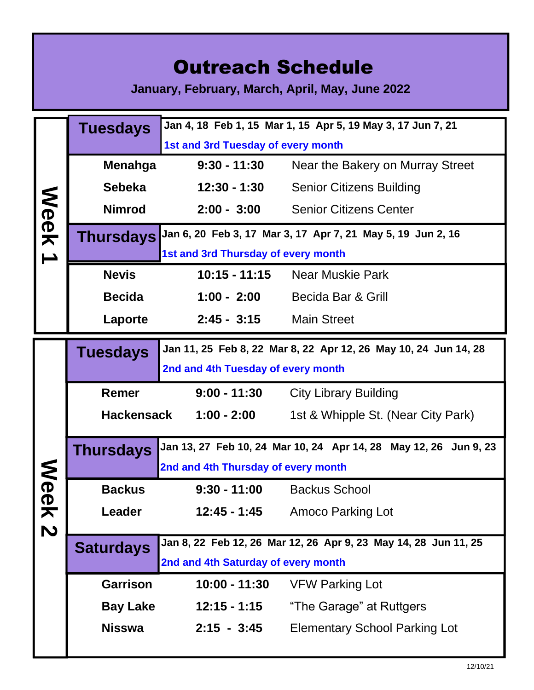## Outreach Schedule

**January, February, March, April, May, June 2022**

|                   | <b>Tuesdays</b>                                                                     | Jan 4, 18 Feb 1, 15 Mar 1, 15 Apr 5, 19 May 3, 17 Jun 7, 21 |                                                                       |  |  |
|-------------------|-------------------------------------------------------------------------------------|-------------------------------------------------------------|-----------------------------------------------------------------------|--|--|
| Week <sub>1</sub> |                                                                                     | 1st and 3rd Tuesday of every month                          |                                                                       |  |  |
|                   | <b>Menahga</b>                                                                      | $9:30 - 11:30$                                              | Near the Bakery on Murray Street                                      |  |  |
|                   | <b>Sebeka</b>                                                                       | $12:30 - 1:30$                                              | <b>Senior Citizens Building</b>                                       |  |  |
|                   | <b>Nimrod</b>                                                                       | $2:00 - 3:00$                                               | <b>Senior Citizens Center</b>                                         |  |  |
|                   |                                                                                     |                                                             | Thursdays Jan 6, 20 Feb 3, 17 Mar 3, 17 Apr 7, 21 May 5, 19 Jun 2, 16 |  |  |
|                   | 1st and 3rd Thursday of every month                                                 |                                                             |                                                                       |  |  |
|                   | <b>Nevis</b>                                                                        |                                                             | <b>10:15 - 11:15</b> Near Muskie Park                                 |  |  |
|                   | <b>Becida</b>                                                                       | $1:00 - 2:00$                                               | Becida Bar & Grill                                                    |  |  |
|                   | Laporte                                                                             | $2:45 - 3:15$                                               | <b>Main Street</b>                                                    |  |  |
|                   | Jan 11, 25 Feb 8, 22 Mar 8, 22 Apr 12, 26 May 10, 24 Jun 14, 28<br><b>Tuesdays</b>  |                                                             |                                                                       |  |  |
|                   | 2nd and 4th Tuesday of every month                                                  |                                                             |                                                                       |  |  |
|                   | Remer                                                                               | $9:00 - 11:30$                                              | <b>City Library Building</b>                                          |  |  |
|                   |                                                                                     | Hackensack 1:00 - 2:00                                      | 1st & Whipple St. (Near City Park)                                    |  |  |
|                   | <b>Thursdays</b>                                                                    |                                                             | Jan 13, 27 Feb 10, 24 Mar 10, 24 Apr 14, 28 May 12, 26 Jun 9, 23      |  |  |
| <b>Ne</b>         | 2nd and 4th Thursday of every month                                                 |                                                             |                                                                       |  |  |
| Œ                 | <b>Backus</b>                                                                       |                                                             | 9:30 - 11:00 Backus School                                            |  |  |
| N<br>N            | <b>Leader</b>                                                                       | 12:45 - 1:45                                                | <b>Amoco Parking Lot</b>                                              |  |  |
|                   | Jan 8, 22 Feb 12, 26 Mar 12, 26 Apr 9, 23 May 14, 28 Jun 11, 25<br><b>Saturdays</b> |                                                             |                                                                       |  |  |
|                   |                                                                                     | 2nd and 4th Saturday of every month                         |                                                                       |  |  |
|                   | <b>Garrison</b>                                                                     | 10:00 - 11:30                                               | <b>VFW Parking Lot</b>                                                |  |  |
|                   | <b>Bay Lake</b>                                                                     | $12:15 - 1:15$                                              | "The Garage" at Ruttgers                                              |  |  |
|                   |                                                                                     |                                                             |                                                                       |  |  |
|                   | <b>Nisswa</b>                                                                       | $2:15 - 3:45$                                               | <b>Elementary School Parking Lot</b>                                  |  |  |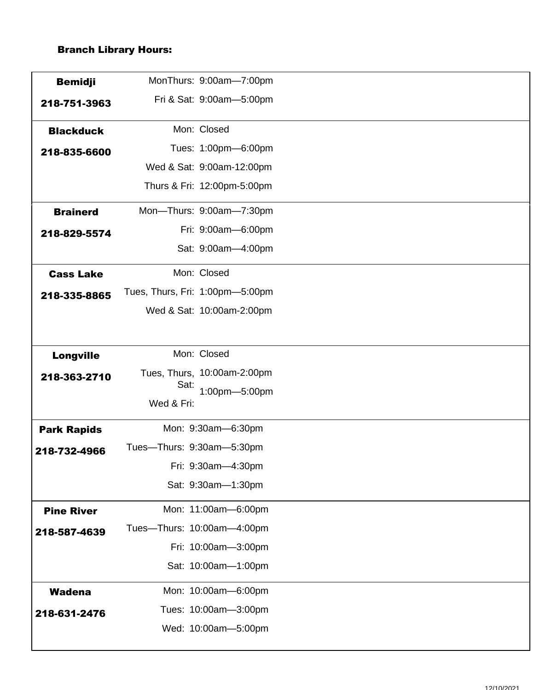## Branch Library Hours:

| <b>Bemidji</b>     |                           | MonThurs: 9:00am-7:00pm         |  |
|--------------------|---------------------------|---------------------------------|--|
| 218-751-3963       |                           | Fri & Sat: 9:00am-5:00pm        |  |
| <b>Blackduck</b>   |                           | Mon: Closed                     |  |
| 218-835-6600       |                           | Tues: 1:00pm-6:00pm             |  |
|                    |                           | Wed & Sat: 9:00am-12:00pm       |  |
|                    |                           | Thurs & Fri: 12:00pm-5:00pm     |  |
| <b>Brainerd</b>    |                           | Mon-Thurs: 9:00am-7:30pm        |  |
| 218-829-5574       |                           | Fri: 9:00am-6:00pm              |  |
|                    |                           | Sat: 9:00am-4:00pm              |  |
| <b>Cass Lake</b>   |                           | Mon: Closed                     |  |
| 218-335-8865       |                           | Tues, Thurs, Fri: 1:00pm-5:00pm |  |
|                    |                           | Wed & Sat: 10:00am-2:00pm       |  |
|                    |                           |                                 |  |
| <b>Longville</b>   |                           | Mon: Closed                     |  |
| 218-363-2710       |                           | Tues, Thurs, 10:00am-2:00pm     |  |
|                    | Sat:                      | 1:00pm-5:00pm                   |  |
|                    | Wed & Fri:                |                                 |  |
| <b>Park Rapids</b> |                           | Mon: 9:30am-6:30pm              |  |
| 218-732-4966       | Tues-Thurs: 9:30am-5:30pm |                                 |  |
|                    |                           | Fri: 9:30am-4:30pm              |  |
|                    |                           | Sat: 9:30am-1:30pm              |  |
| <b>Pine River</b>  |                           | Mon: 11:00am-6:00pm             |  |
| 218-587-4639       |                           | Tues-Thurs: 10:00am-4:00pm      |  |
|                    |                           | Fri: 10:00am-3:00pm             |  |
|                    |                           | Sat: 10:00am-1:00pm             |  |
| <b>Wadena</b>      |                           | Mon: 10:00am-6:00pm             |  |
| 218-631-2476       |                           | Tues: 10:00am-3:00pm            |  |
|                    |                           | Wed: 10:00am-5:00pm             |  |
|                    |                           |                                 |  |